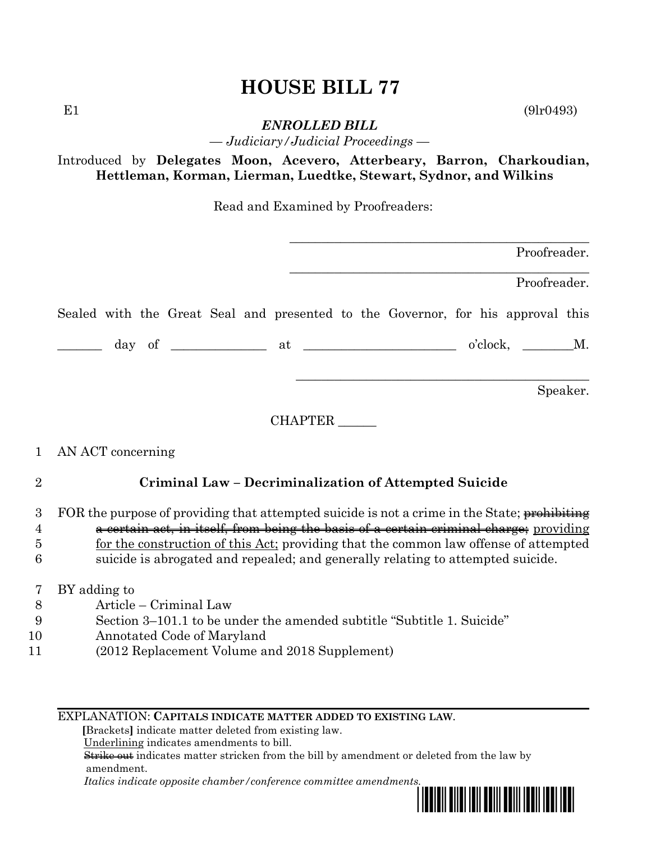## **HOUSE BILL 77**

 $E1$  (9lr0493)

*ENROLLED BILL — Judiciary/Judicial Proceedings —*

Introduced by **Delegates Moon, Acevero, Atterbeary, Barron, Charkoudian, Hettleman, Korman, Lierman, Luedtke, Stewart, Sydnor, and Wilkins**

Read and Examined by Proofreaders:

|                  | Proofreader.                                                                                                                                                                                                                                                                                                                                                      |  |  |
|------------------|-------------------------------------------------------------------------------------------------------------------------------------------------------------------------------------------------------------------------------------------------------------------------------------------------------------------------------------------------------------------|--|--|
|                  | Proofreader.                                                                                                                                                                                                                                                                                                                                                      |  |  |
|                  | Sealed with the Great Seal and presented to the Governor, for his approval this                                                                                                                                                                                                                                                                                   |  |  |
|                  |                                                                                                                                                                                                                                                                                                                                                                   |  |  |
|                  | Speaker.                                                                                                                                                                                                                                                                                                                                                          |  |  |
|                  | CHAPTER                                                                                                                                                                                                                                                                                                                                                           |  |  |
| $\mathbf{1}$     | AN ACT concerning                                                                                                                                                                                                                                                                                                                                                 |  |  |
| $\overline{2}$   | Criminal Law – Decriminalization of Attempted Suicide                                                                                                                                                                                                                                                                                                             |  |  |
| 3<br>4<br>5<br>6 | FOR the purpose of providing that attempted suicide is not a crime in the State; prohibiting<br>a certain act, in itself, from being the basis of a certain criminal charge; providing<br>for the construction of this Act; providing that the common law offense of attempted<br>suicide is abrogated and repealed; and generally relating to attempted suicide. |  |  |
| 7                | BY adding to                                                                                                                                                                                                                                                                                                                                                      |  |  |
| 8                | Article – Criminal Law                                                                                                                                                                                                                                                                                                                                            |  |  |
| 9<br>10          | Section 3–101.1 to be under the amended subtitle "Subtitle 1. Suicide"<br>Annotated Code of Maryland                                                                                                                                                                                                                                                              |  |  |
|                  |                                                                                                                                                                                                                                                                                                                                                                   |  |  |

11 (2012 Replacement Volume and 2018 Supplement)

EXPLANATION: **CAPITALS INDICATE MATTER ADDED TO EXISTING LAW**.

 **[**Brackets**]** indicate matter deleted from existing law.

Underlining indicates amendments to bill.

 Strike out indicates matter stricken from the bill by amendment or deleted from the law by amendment.

 *Italics indicate opposite chamber/conference committee amendments.*